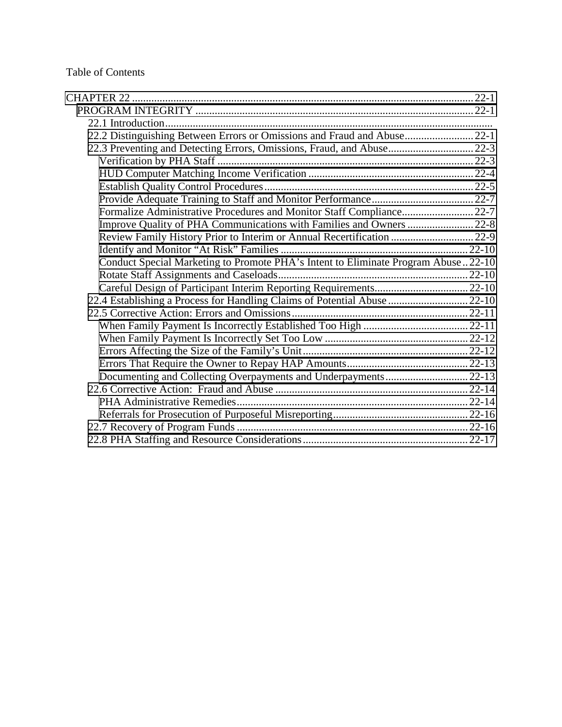#### Table of Contents

| 22.2 Distinguishing Between Errors or Omissions and Fraud and Abuse 22-1          |  |
|-----------------------------------------------------------------------------------|--|
| 22.3 Preventing and Detecting Errors, Omissions, Fraud, and Abuse 22-3            |  |
|                                                                                   |  |
|                                                                                   |  |
|                                                                                   |  |
|                                                                                   |  |
| Formalize Administrative Procedures and Monitor Staff Compliance 22-7             |  |
|                                                                                   |  |
| Review Family History Prior to Interim or Annual Recertification  22-9            |  |
|                                                                                   |  |
| Conduct Special Marketing to Promote PHA's Intent to Eliminate Program Abuse22-10 |  |
|                                                                                   |  |
|                                                                                   |  |
| 22.4 Establishing a Process for Handling Claims of Potential Abuse  22-10         |  |
|                                                                                   |  |
|                                                                                   |  |
|                                                                                   |  |
|                                                                                   |  |
|                                                                                   |  |
|                                                                                   |  |
|                                                                                   |  |
|                                                                                   |  |
|                                                                                   |  |
|                                                                                   |  |
|                                                                                   |  |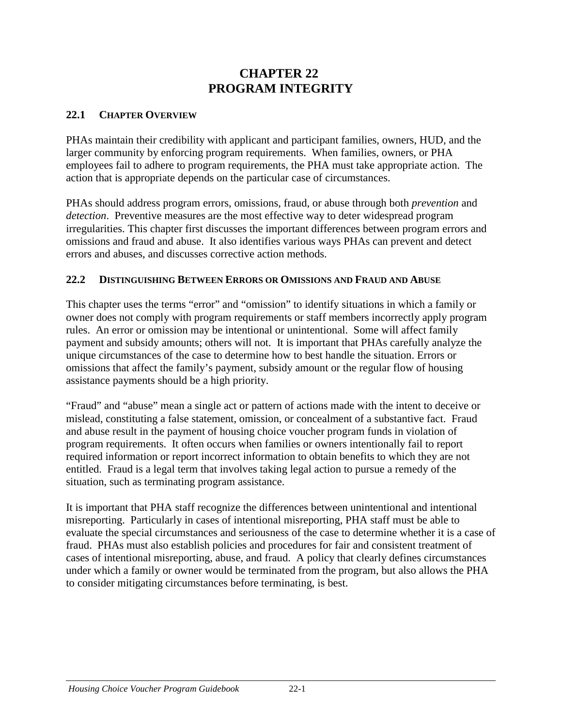# **CHAPTER 22 PROGRAM INTEGRITY**

#### <span id="page-1-0"></span>**22.1 CHAPTER OVERVIEW**

PHAs maintain their credibility with applicant and participant families, owners, HUD, and the larger community by enforcing program requirements. When families, owners, or PHA employees fail to adhere to program requirements, the PHA must take appropriate action. The action that is appropriate depends on the particular case of circumstances.

PHAs should address program errors, omissions, fraud, or abuse through both *prevention* and *detection*. Preventive measures are the most effective way to deter widespread program irregularities. This chapter first discusses the important differences between program errors and omissions and fraud and abuse. It also identifies various ways PHAs can prevent and detect errors and abuses, and discusses corrective action methods.

#### **22.2 DISTINGUISHING BETWEEN ERRORS OR OMISSIONS AND FRAUD AND ABUSE**

This chapter uses the terms "error" and "omission" to identify situations in which a family or owner does not comply with program requirements or staff members incorrectly apply program rules. An error or omission may be intentional or unintentional. Some will affect family payment and subsidy amounts; others will not. It is important that PHAs carefully analyze the unique circumstances of the case to determine how to best handle the situation. Errors or omissions that affect the family's payment, subsidy amount or the regular flow of housing assistance payments should be a high priority.

"Fraud" and "abuse" mean a single act or pattern of actions made with the intent to deceive or mislead, constituting a false statement, omission, or concealment of a substantive fact. Fraud and abuse result in the payment of housing choice voucher program funds in violation of program requirements. It often occurs when families or owners intentionally fail to report required information or report incorrect information to obtain benefits to which they are not entitled. Fraud is a legal term that involves taking legal action to pursue a remedy of the situation, such as terminating program assistance.

It is important that PHA staff recognize the differences between unintentional and intentional misreporting. Particularly in cases of intentional misreporting, PHA staff must be able to evaluate the special circumstances and seriousness of the case to determine whether it is a case of fraud. PHAs must also establish policies and procedures for fair and consistent treatment of cases of intentional misreporting, abuse, and fraud. A policy that clearly defines circumstances under which a family or owner would be terminated from the program, but also allows the PHA to consider mitigating circumstances before terminating, is best.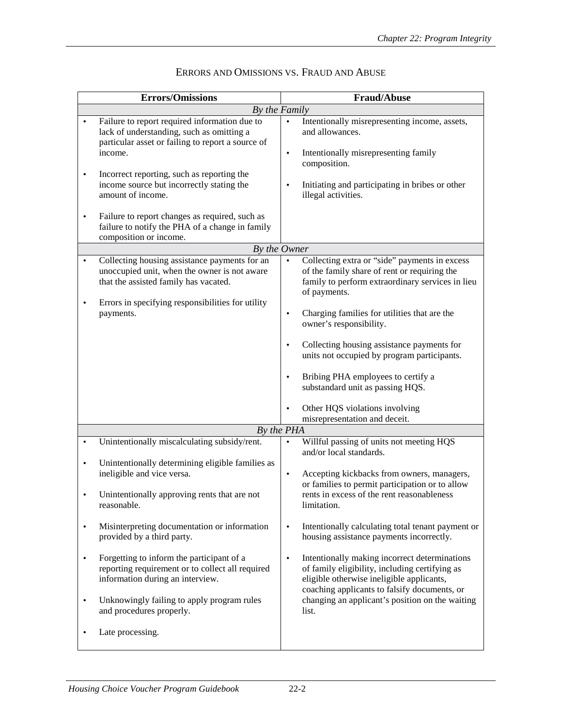| <b>Errors/Omissions</b> |                                                                                                                                                            |                        | <b>Fraud/Abuse</b>                                                                                                                                                                           |  |  |
|-------------------------|------------------------------------------------------------------------------------------------------------------------------------------------------------|------------------------|----------------------------------------------------------------------------------------------------------------------------------------------------------------------------------------------|--|--|
|                         | By the Family                                                                                                                                              |                        |                                                                                                                                                                                              |  |  |
| $\bullet$               | Failure to report required information due to<br>lack of understanding, such as omitting a<br>particular asset or failing to report a source of<br>income. | $\bullet$<br>$\bullet$ | Intentionally misrepresenting income, assets,<br>and allowances.<br>Intentionally misrepresenting family                                                                                     |  |  |
| $\bullet$               | Incorrect reporting, such as reporting the<br>income source but incorrectly stating the<br>amount of income.                                               |                        | composition.<br>Initiating and participating in bribes or other<br>illegal activities.                                                                                                       |  |  |
| $\bullet$               | Failure to report changes as required, such as<br>failure to notify the PHA of a change in family<br>composition or income.                                |                        |                                                                                                                                                                                              |  |  |
|                         | By the Owner                                                                                                                                               |                        |                                                                                                                                                                                              |  |  |
| $\bullet$               | Collecting housing assistance payments for an<br>unoccupied unit, when the owner is not aware<br>that the assisted family has vacated.                     |                        | Collecting extra or "side" payments in excess<br>of the family share of rent or requiring the<br>family to perform extraordinary services in lieu<br>of payments.                            |  |  |
| $\bullet$               | Errors in specifying responsibilities for utility<br>payments.                                                                                             | $\bullet$              | Charging families for utilities that are the<br>owner's responsibility.                                                                                                                      |  |  |
|                         |                                                                                                                                                            | $\bullet$              | Collecting housing assistance payments for<br>units not occupied by program participants.                                                                                                    |  |  |
|                         |                                                                                                                                                            |                        | Bribing PHA employees to certify a<br>substandard unit as passing HQS.                                                                                                                       |  |  |
|                         |                                                                                                                                                            |                        | Other HQS violations involving<br>misrepresentation and deceit.                                                                                                                              |  |  |
| By the PHA              |                                                                                                                                                            |                        |                                                                                                                                                                                              |  |  |
| $\bullet$               | Unintentionally miscalculating subsidy/rent.                                                                                                               | $\bullet$              | Willful passing of units not meeting HQS<br>and/or local standards.                                                                                                                          |  |  |
| $\bullet$<br>$\bullet$  | Unintentionally determining eligible families as<br>ineligible and vice versa.<br>Unintentionally approving rents that are not<br>reasonable.              | $\bullet$              | Accepting kickbacks from owners, managers,<br>or families to permit participation or to allow<br>rents in excess of the rent reasonableness<br>limitation.                                   |  |  |
| $\bullet$               | Misinterpreting documentation or information<br>provided by a third party.                                                                                 | $\bullet$              | Intentionally calculating total tenant payment or<br>housing assistance payments incorrectly.                                                                                                |  |  |
| $\bullet$               | Forgetting to inform the participant of a<br>reporting requirement or to collect all required<br>information during an interview.                          | $\bullet$              | Intentionally making incorrect determinations<br>of family eligibility, including certifying as<br>eligible otherwise ineligible applicants,<br>coaching applicants to falsify documents, or |  |  |
| $\bullet$               | Unknowingly failing to apply program rules<br>and procedures properly.                                                                                     |                        | changing an applicant's position on the waiting<br>list.                                                                                                                                     |  |  |
|                         | Late processing.                                                                                                                                           |                        |                                                                                                                                                                                              |  |  |

## ERRORS AND OMISSIONS VS. FRAUD AND ABUSE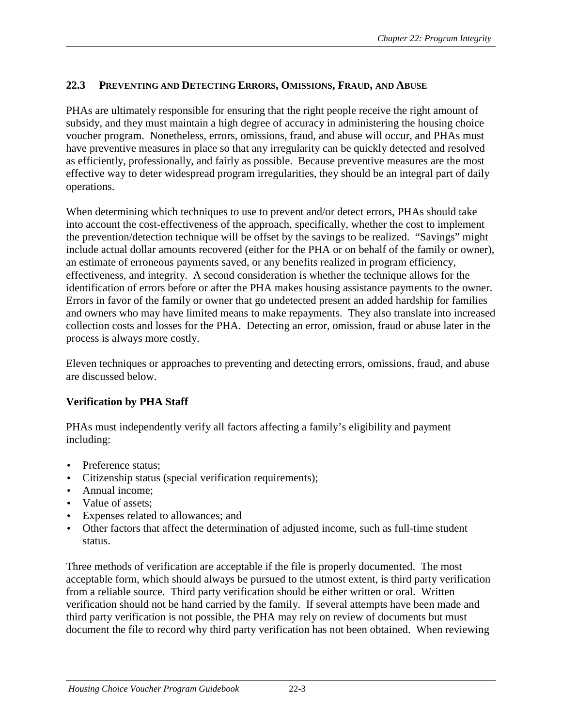## <span id="page-3-0"></span>**22.3 PREVENTING AND DETECTING ERRORS, OMISSIONS, FRAUD, AND ABUSE**

PHAs are ultimately responsible for ensuring that the right people receive the right amount of subsidy, and they must maintain a high degree of accuracy in administering the housing choice voucher program. Nonetheless, errors, omissions, fraud, and abuse will occur, and PHAs must have preventive measures in place so that any irregularity can be quickly detected and resolved as efficiently, professionally, and fairly as possible. Because preventive measures are the most effective way to deter widespread program irregularities, they should be an integral part of daily operations.

When determining which techniques to use to prevent and/or detect errors, PHAs should take into account the cost-effectiveness of the approach, specifically, whether the cost to implement the prevention/detection technique will be offset by the savings to be realized. "Savings" might include actual dollar amounts recovered (either for the PHA or on behalf of the family or owner), an estimate of erroneous payments saved, or any benefits realized in program efficiency, effectiveness, and integrity. A second consideration is whether the technique allows for the identification of errors before or after the PHA makes housing assistance payments to the owner. Errors in favor of the family or owner that go undetected present an added hardship for families and owners who may have limited means to make repayments. They also translate into increased collection costs and losses for the PHA. Detecting an error, omission, fraud or abuse later in the process is always more costly.

Eleven techniques or approaches to preventing and detecting errors, omissions, fraud, and abuse are discussed below.

# **Verification by PHA Staff**

PHAs must independently verify all factors affecting a family's eligibility and payment including:

- Preference status:
- Citizenship status (special verification requirements);
- Annual income;
- Value of assets:
- Expenses related to allowances; and
- Other factors that affect the determination of adjusted income, such as full-time student status.

Three methods of verification are acceptable if the file is properly documented. The most acceptable form, which should always be pursued to the utmost extent, is third party verification from a reliable source. Third party verification should be either written or oral. Written verification should not be hand carried by the family. If several attempts have been made and third party verification is not possible, the PHA may rely on review of documents but must document the file to record why third party verification has not been obtained. When reviewing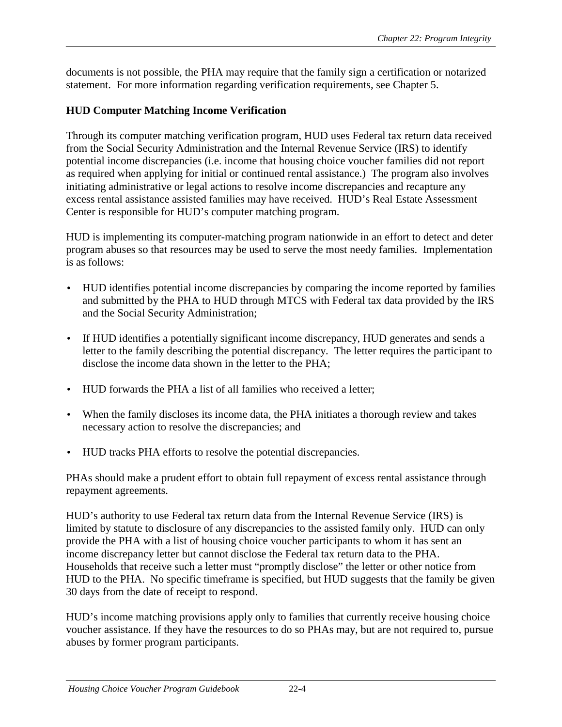<span id="page-4-0"></span>documents is not possible, the PHA may require that the family sign a certification or notarized statement. For more information regarding verification requirements, see Chapter 5.

## **HUD Computer Matching Income Verification**

Through its computer matching verification program, HUD uses Federal tax return data received from the Social Security Administration and the Internal Revenue Service (IRS) to identify potential income discrepancies (i.e. income that housing choice voucher families did not report as required when applying for initial or continued rental assistance.) The program also involves initiating administrative or legal actions to resolve income discrepancies and recapture any excess rental assistance assisted families may have received. HUD's Real Estate Assessment Center is responsible for HUD's computer matching program.

HUD is implementing its computer-matching program nationwide in an effort to detect and deter program abuses so that resources may be used to serve the most needy families. Implementation is as follows:

- HUD identifies potential income discrepancies by comparing the income reported by families and submitted by the PHA to HUD through MTCS with Federal tax data provided by the IRS and the Social Security Administration;
- If HUD identifies a potentially significant income discrepancy, HUD generates and sends a letter to the family describing the potential discrepancy. The letter requires the participant to disclose the income data shown in the letter to the PHA;
- HUD forwards the PHA a list of all families who received a letter;
- When the family discloses its income data, the PHA initiates a thorough review and takes necessary action to resolve the discrepancies; and
- HUD tracks PHA efforts to resolve the potential discrepancies.

PHAs should make a prudent effort to obtain full repayment of excess rental assistance through repayment agreements.

HUD's authority to use Federal tax return data from the Internal Revenue Service (IRS) is limited by statute to disclosure of any discrepancies to the assisted family only. HUD can only provide the PHA with a list of housing choice voucher participants to whom it has sent an income discrepancy letter but cannot disclose the Federal tax return data to the PHA. Households that receive such a letter must "promptly disclose" the letter or other notice from HUD to the PHA. No specific timeframe is specified, but HUD suggests that the family be given 30 days from the date of receipt to respond.

HUD's income matching provisions apply only to families that currently receive housing choice voucher assistance. If they have the resources to do so PHAs may, but are not required to, pursue abuses by former program participants.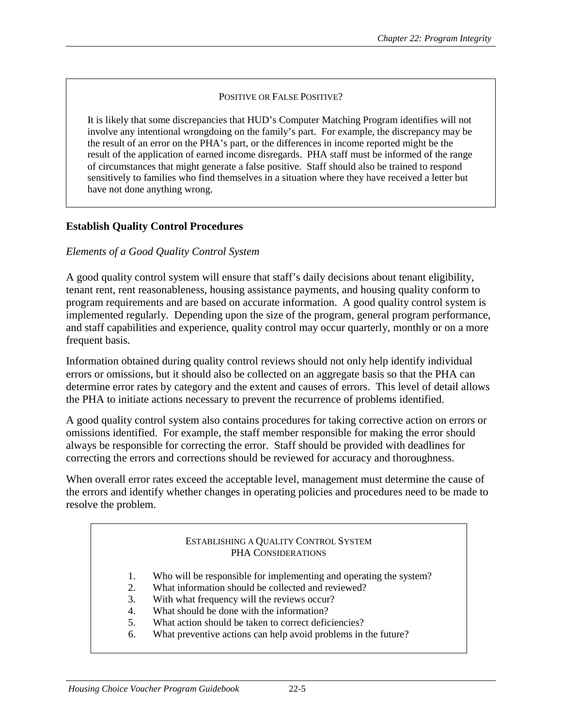#### POSITIVE OR FALSE POSITIVE?

<span id="page-5-0"></span>It is likely that some discrepancies that HUD's Computer Matching Program identifies will not involve any intentional wrongdoing on the family's part. For example, the discrepancy may be the result of an error on the PHA's part, or the differences in income reported might be the result of the application of earned income disregards. PHA staff must be informed of the range of circumstances that might generate a false positive. Staff should also be trained to respond sensitively to families who find themselves in a situation where they have received a letter but have not done anything wrong.

#### **Establish Quality Control Procedures**

#### *Elements of a Good Quality Control System*

A good quality control system will ensure that staff's daily decisions about tenant eligibility, tenant rent, rent reasonableness, housing assistance payments, and housing quality conform to program requirements and are based on accurate information. A good quality control system is implemented regularly. Depending upon the size of the program, general program performance, and staff capabilities and experience, quality control may occur quarterly, monthly or on a more frequent basis.

Information obtained during quality control reviews should not only help identify individual errors or omissions, but it should also be collected on an aggregate basis so that the PHA can determine error rates by category and the extent and causes of errors. This level of detail allows the PHA to initiate actions necessary to prevent the recurrence of problems identified.

A good quality control system also contains procedures for taking corrective action on errors or omissions identified. For example, the staff member responsible for making the error should always be responsible for correcting the error. Staff should be provided with deadlines for correcting the errors and corrections should be reviewed for accuracy and thoroughness.

When overall error rates exceed the acceptable level, management must determine the cause of the errors and identify whether changes in operating policies and procedures need to be made to resolve the problem.

#### ESTABLISHING A QUALITY CONTROL SYSTEM PHA CONSIDERATIONS

- 1. Who will be responsible for implementing and operating the system?
- 2. What information should be collected and reviewed?
- 3. With what frequency will the reviews occur?
- 4. What should be done with the information?
- 5. What action should be taken to correct deficiencies?
- 6. What preventive actions can help avoid problems in the future?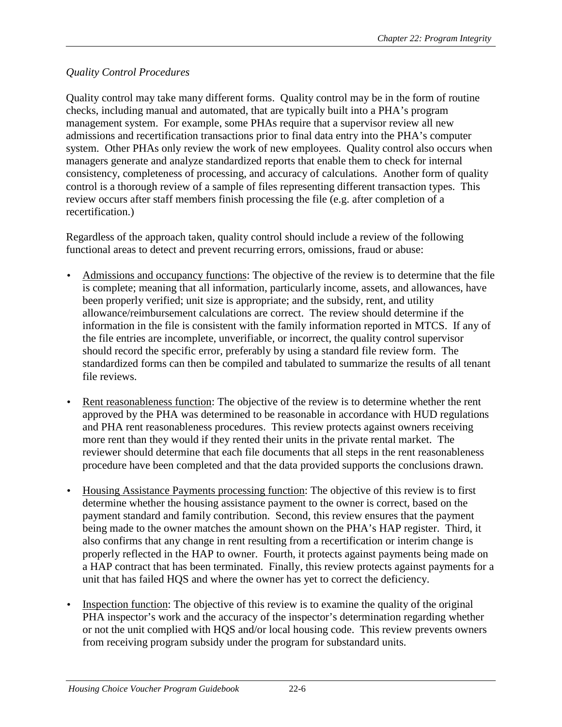## *Quality Control Procedures*

Quality control may take many different forms. Quality control may be in the form of routine checks, including manual and automated, that are typically built into a PHA's program management system. For example, some PHAs require that a supervisor review all new admissions and recertification transactions prior to final data entry into the PHA's computer system. Other PHAs only review the work of new employees. Quality control also occurs when managers generate and analyze standardized reports that enable them to check for internal consistency, completeness of processing, and accuracy of calculations. Another form of quality control is a thorough review of a sample of files representing different transaction types. This review occurs after staff members finish processing the file (e.g. after completion of a recertification.)

Regardless of the approach taken, quality control should include a review of the following functional areas to detect and prevent recurring errors, omissions, fraud or abuse:

- Admissions and occupancy functions: The objective of the review is to determine that the file is complete; meaning that all information, particularly income, assets, and allowances, have been properly verified; unit size is appropriate; and the subsidy, rent, and utility allowance/reimbursement calculations are correct. The review should determine if the information in the file is consistent with the family information reported in MTCS. If any of the file entries are incomplete, unverifiable, or incorrect, the quality control supervisor should record the specific error, preferably by using a standard file review form. The standardized forms can then be compiled and tabulated to summarize the results of all tenant file reviews.
- Rent reasonableness function: The objective of the review is to determine whether the rent approved by the PHA was determined to be reasonable in accordance with HUD regulations and PHA rent reasonableness procedures. This review protects against owners receiving more rent than they would if they rented their units in the private rental market. The reviewer should determine that each file documents that all steps in the rent reasonableness procedure have been completed and that the data provided supports the conclusions drawn.
- Housing Assistance Payments processing function: The objective of this review is to first determine whether the housing assistance payment to the owner is correct, based on the payment standard and family contribution. Second, this review ensures that the payment being made to the owner matches the amount shown on the PHA's HAP register. Third, it also confirms that any change in rent resulting from a recertification or interim change is properly reflected in the HAP to owner. Fourth, it protects against payments being made on a HAP contract that has been terminated. Finally, this review protects against payments for a unit that has failed HQS and where the owner has yet to correct the deficiency.
- Inspection function: The objective of this review is to examine the quality of the original PHA inspector's work and the accuracy of the inspector's determination regarding whether or not the unit complied with HQS and/or local housing code. This review prevents owners from receiving program subsidy under the program for substandard units.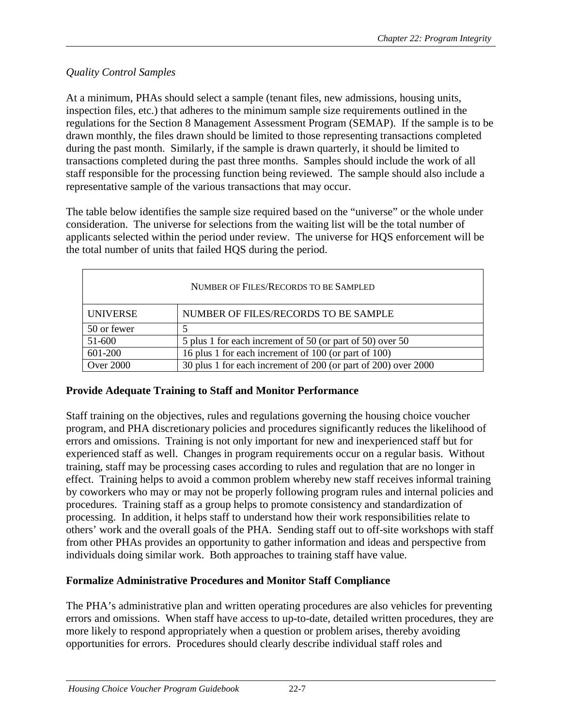## <span id="page-7-0"></span>*Quality Control Samples*

At a minimum, PHAs should select a sample (tenant files, new admissions, housing units, inspection files, etc.) that adheres to the minimum sample size requirements outlined in the regulations for the Section 8 Management Assessment Program (SEMAP). If the sample is to be drawn monthly, the files drawn should be limited to those representing transactions completed during the past month. Similarly, if the sample is drawn quarterly, it should be limited to transactions completed during the past three months. Samples should include the work of all staff responsible for the processing function being reviewed. The sample should also include a representative sample of the various transactions that may occur.

The table below identifies the sample size required based on the "universe" or the whole under consideration. The universe for selections from the waiting list will be the total number of applicants selected within the period under review. The universe for HQS enforcement will be the total number of units that failed HQS during the period.

| NUMBER OF FILES/RECORDS TO BE SAMPLED |                                                                |  |  |  |  |
|---------------------------------------|----------------------------------------------------------------|--|--|--|--|
| <b>UNIVERSE</b>                       | NUMBER OF FILES/RECORDS TO BE SAMPLE                           |  |  |  |  |
| 50 or fewer                           |                                                                |  |  |  |  |
| 51-600                                | 5 plus 1 for each increment of 50 (or part of 50) over 50      |  |  |  |  |
| 601-200                               | 16 plus 1 for each increment of 100 (or part of 100)           |  |  |  |  |
| <b>Over 2000</b>                      | 30 plus 1 for each increment of 200 (or part of 200) over 2000 |  |  |  |  |

## **Provide Adequate Training to Staff and Monitor Performance**

Staff training on the objectives, rules and regulations governing the housing choice voucher program, and PHA discretionary policies and procedures significantly reduces the likelihood of errors and omissions. Training is not only important for new and inexperienced staff but for experienced staff as well. Changes in program requirements occur on a regular basis. Without training, staff may be processing cases according to rules and regulation that are no longer in effect. Training helps to avoid a common problem whereby new staff receives informal training by coworkers who may or may not be properly following program rules and internal policies and procedures. Training staff as a group helps to promote consistency and standardization of processing. In addition, it helps staff to understand how their work responsibilities relate to others' work and the overall goals of the PHA. Sending staff out to off-site workshops with staff from other PHAs provides an opportunity to gather information and ideas and perspective from individuals doing similar work. Both approaches to training staff have value.

## **Formalize Administrative Procedures and Monitor Staff Compliance**

The PHA's administrative plan and written operating procedures are also vehicles for preventing errors and omissions. When staff have access to up-to-date, detailed written procedures, they are more likely to respond appropriately when a question or problem arises, thereby avoiding opportunities for errors. Procedures should clearly describe individual staff roles and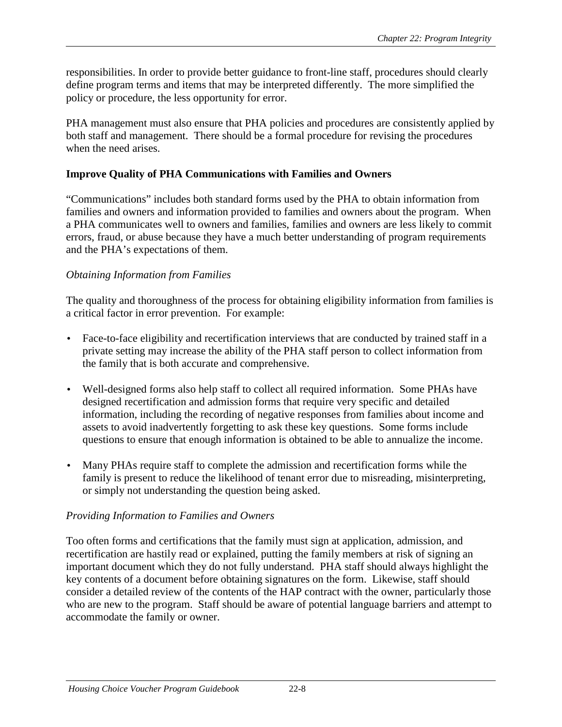<span id="page-8-0"></span>responsibilities. In order to provide better guidance to front-line staff, procedures should clearly define program terms and items that may be interpreted differently. The more simplified the policy or procedure, the less opportunity for error.

PHA management must also ensure that PHA policies and procedures are consistently applied by both staff and management. There should be a formal procedure for revising the procedures when the need arises.

## **Improve Quality of PHA Communications with Families and Owners**

"Communications" includes both standard forms used by the PHA to obtain information from families and owners and information provided to families and owners about the program. When a PHA communicates well to owners and families, families and owners are less likely to commit errors, fraud, or abuse because they have a much better understanding of program requirements and the PHA's expectations of them.

## *Obtaining Information from Families*

The quality and thoroughness of the process for obtaining eligibility information from families is a critical factor in error prevention. For example:

- Face-to-face eligibility and recertification interviews that are conducted by trained staff in a private setting may increase the ability of the PHA staff person to collect information from the family that is both accurate and comprehensive.
- Well-designed forms also help staff to collect all required information. Some PHAs have designed recertification and admission forms that require very specific and detailed information, including the recording of negative responses from families about income and assets to avoid inadvertently forgetting to ask these key questions. Some forms include questions to ensure that enough information is obtained to be able to annualize the income.
- Many PHAs require staff to complete the admission and recertification forms while the family is present to reduce the likelihood of tenant error due to misreading, misinterpreting, or simply not understanding the question being asked.

## *Providing Information to Families and Owners*

Too often forms and certifications that the family must sign at application, admission, and recertification are hastily read or explained, putting the family members at risk of signing an important document which they do not fully understand. PHA staff should always highlight the key contents of a document before obtaining signatures on the form. Likewise, staff should consider a detailed review of the contents of the HAP contract with the owner, particularly those who are new to the program. Staff should be aware of potential language barriers and attempt to accommodate the family or owner.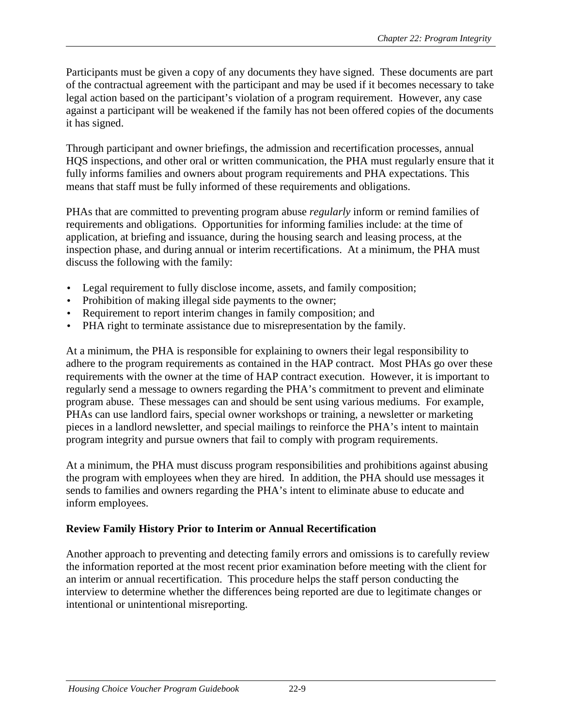<span id="page-9-0"></span>Participants must be given a copy of any documents they have signed. These documents are part of the contractual agreement with the participant and may be used if it becomes necessary to take legal action based on the participant's violation of a program requirement. However, any case against a participant will be weakened if the family has not been offered copies of the documents it has signed.

Through participant and owner briefings, the admission and recertification processes, annual HQS inspections, and other oral or written communication, the PHA must regularly ensure that it fully informs families and owners about program requirements and PHA expectations. This means that staff must be fully informed of these requirements and obligations.

PHAs that are committed to preventing program abuse *regularly* inform or remind families of requirements and obligations. Opportunities for informing families include: at the time of application, at briefing and issuance, during the housing search and leasing process, at the inspection phase, and during annual or interim recertifications. At a minimum, the PHA must discuss the following with the family:

- Legal requirement to fully disclose income, assets, and family composition;
- Prohibition of making illegal side payments to the owner;
- Requirement to report interim changes in family composition; and
- PHA right to terminate assistance due to misrepresentation by the family.

At a minimum, the PHA is responsible for explaining to owners their legal responsibility to adhere to the program requirements as contained in the HAP contract. Most PHAs go over these requirements with the owner at the time of HAP contract execution. However, it is important to regularly send a message to owners regarding the PHA's commitment to prevent and eliminate program abuse. These messages can and should be sent using various mediums. For example, PHAs can use landlord fairs, special owner workshops or training, a newsletter or marketing pieces in a landlord newsletter, and special mailings to reinforce the PHA's intent to maintain program integrity and pursue owners that fail to comply with program requirements.

At a minimum, the PHA must discuss program responsibilities and prohibitions against abusing the program with employees when they are hired. In addition, the PHA should use messages it sends to families and owners regarding the PHA's intent to eliminate abuse to educate and inform employees.

## **Review Family History Prior to Interim or Annual Recertification**

Another approach to preventing and detecting family errors and omissions is to carefully review the information reported at the most recent prior examination before meeting with the client for an interim or annual recertification. This procedure helps the staff person conducting the interview to determine whether the differences being reported are due to legitimate changes or intentional or unintentional misreporting.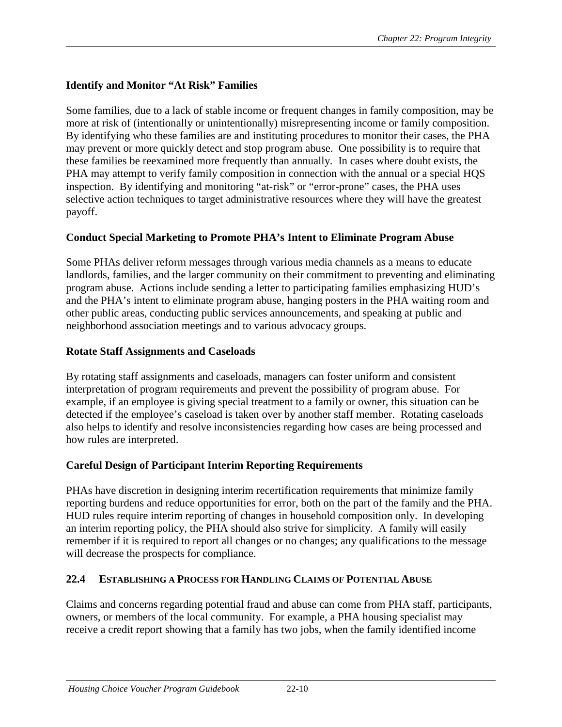# <span id="page-10-0"></span>**Identify and Monitor "At Risk" Families**

Some families, due to a lack of stable income or frequent changes in family composition, may be more at risk of (intentionally or unintentionally) misrepresenting income or family composition. By identifying who these families are and instituting procedures to monitor their cases, the PHA may prevent or more quickly detect and stop program abuse. One possibility is to require that these families be reexamined more frequently than annually. In cases where doubt exists, the PHA may attempt to verify family composition in connection with the annual or a special HQS inspection. By identifying and monitoring "at-risk" or "error-prone" cases, the PHA uses selective action techniques to target administrative resources where they will have the greatest payoff.

## **Conduct Special Marketing to Promote PHA's Intent to Eliminate Program Abuse**

Some PHAs deliver reform messages through various media channels as a means to educate landlords, families, and the larger community on their commitment to preventing and eliminating program abuse. Actions include sending a letter to participating families emphasizing HUD's and the PHA's intent to eliminate program abuse, hanging posters in the PHA waiting room and other public areas, conducting public services announcements, and speaking at public and neighborhood association meetings and to various advocacy groups.

## **Rotate Staff Assignments and Caseloads**

By rotating staff assignments and caseloads, managers can foster uniform and consistent interpretation of program requirements and prevent the possibility of program abuse. For example, if an employee is giving special treatment to a family or owner, this situation can be detected if the employee's caseload is taken over by another staff member. Rotating caseloads also helps to identify and resolve inconsistencies regarding how cases are being processed and how rules are interpreted.

## **Careful Design of Participant Interim Reporting Requirements**

PHAs have discretion in designing interim recertification requirements that minimize family reporting burdens and reduce opportunities for error, both on the part of the family and the PHA. HUD rules require interim reporting of changes in household composition only. In developing an interim reporting policy, the PHA should also strive for simplicity. A family will easily remember if it is required to report all changes or no changes; any qualifications to the message will decrease the prospects for compliance.

## **22.4 ESTABLISHING A PROCESS FOR HANDLING CLAIMS OF POTENTIAL ABUSE**

Claims and concerns regarding potential fraud and abuse can come from PHA staff, participants, owners, or members of the local community. For example, a PHA housing specialist may receive a credit report showing that a family has two jobs, when the family identified income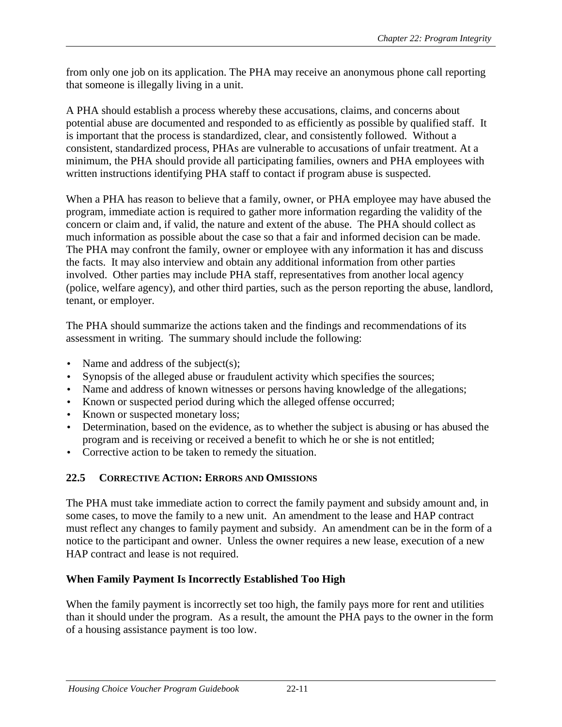<span id="page-11-0"></span>from only one job on its application. The PHA may receive an anonymous phone call reporting that someone is illegally living in a unit.

A PHA should establish a process whereby these accusations, claims, and concerns about potential abuse are documented and responded to as efficiently as possible by qualified staff. It is important that the process is standardized, clear, and consistently followed. Without a consistent, standardized process, PHAs are vulnerable to accusations of unfair treatment. At a minimum, the PHA should provide all participating families, owners and PHA employees with written instructions identifying PHA staff to contact if program abuse is suspected.

When a PHA has reason to believe that a family, owner, or PHA employee may have abused the program, immediate action is required to gather more information regarding the validity of the concern or claim and, if valid, the nature and extent of the abuse. The PHA should collect as much information as possible about the case so that a fair and informed decision can be made. The PHA may confront the family, owner or employee with any information it has and discuss the facts. It may also interview and obtain any additional information from other parties involved. Other parties may include PHA staff, representatives from another local agency (police, welfare agency), and other third parties, such as the person reporting the abuse, landlord, tenant, or employer.

The PHA should summarize the actions taken and the findings and recommendations of its assessment in writing. The summary should include the following:

- Name and address of the subject(s);
- Synopsis of the alleged abuse or fraudulent activity which specifies the sources;
- Name and address of known witnesses or persons having knowledge of the allegations;
- Known or suspected period during which the alleged offense occurred;
- Known or suspected monetary loss;
- Determination, based on the evidence, as to whether the subject is abusing or has abused the program and is receiving or received a benefit to which he or she is not entitled;
- Corrective action to be taken to remedy the situation.

# **22.5 CORRECTIVE ACTION: ERRORS AND OMISSIONS**

The PHA must take immediate action to correct the family payment and subsidy amount and, in some cases, to move the family to a new unit. An amendment to the lease and HAP contract must reflect any changes to family payment and subsidy. An amendment can be in the form of a notice to the participant and owner. Unless the owner requires a new lease, execution of a new HAP contract and lease is not required.

# **When Family Payment Is Incorrectly Established Too High**

When the family payment is incorrectly set too high, the family pays more for rent and utilities than it should under the program. As a result, the amount the PHA pays to the owner in the form of a housing assistance payment is too low.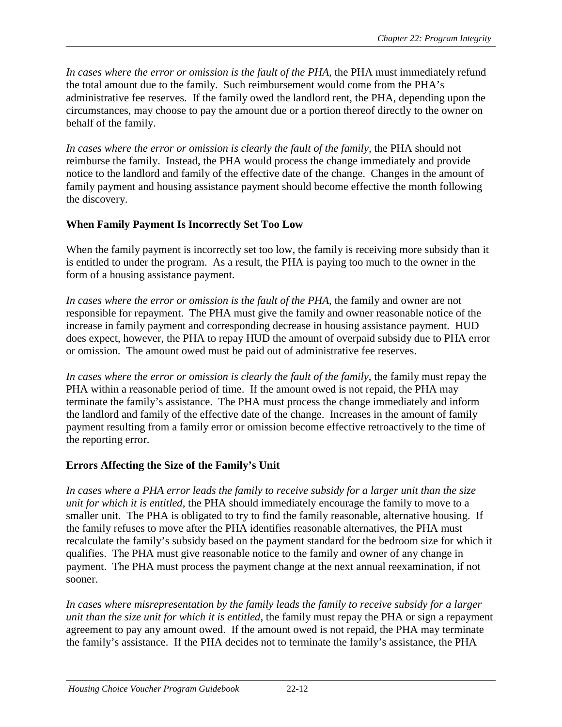<span id="page-12-0"></span>In cases where the error or omission is the fault of the PHA, the PHA must immediately refund the total amount due to the family. Such reimbursement would come from the PHA's administrative fee reserves. If the family owed the landlord rent, the PHA, depending upon the circumstances, may choose to pay the amount due or a portion thereof directly to the owner on behalf of the family.

In cases where the error or omission is clearly the fault of the family, the PHA should not reimburse the family. Instead, the PHA would process the change immediately and provide notice to the landlord and family of the effective date of the change. Changes in the amount of family payment and housing assistance payment should become effective the month following the discovery.

## **When Family Payment Is Incorrectly Set Too Low**

When the family payment is incorrectly set too low, the family is receiving more subsidy than it is entitled to under the program. As a result, the PHA is paying too much to the owner in the form of a housing assistance payment.

In cases where the error or omission is the fault of the PHA, the family and owner are not responsible for repayment. The PHA must give the family and owner reasonable notice of the increase in family payment and corresponding decrease in housing assistance payment. HUD does expect, however, the PHA to repay HUD the amount of overpaid subsidy due to PHA error or omission. The amount owed must be paid out of administrative fee reserves.

*In cases where the error or omission is clearly the fault of the family*, the family must repay the PHA within a reasonable period of time. If the amount owed is not repaid, the PHA may terminate the family's assistance. The PHA must process the change immediately and inform the landlord and family of the effective date of the change. Increases in the amount of family payment resulting from a family error or omission become effective retroactively to the time of the reporting error.

## **Errors Affecting the Size of the Family's Unit**

*In cases where a PHA error leads the family to receive subsidy for a larger unit than the size unit for which it is entitled,* the PHA should immediately encourage the family to move to a smaller unit. The PHA is obligated to try to find the family reasonable, alternative housing. If the family refuses to move after the PHA identifies reasonable alternatives, the PHA must recalculate the family's subsidy based on the payment standard for the bedroom size for which it qualifies. The PHA must give reasonable notice to the family and owner of any change in payment. The PHA must process the payment change at the next annual reexamination, if not sooner.

*In cases where misrepresentation by the family leads the family to receive subsidy for a larger unit than the size unit for which it is entitled, the family must repay the PHA or sign a repayment* agreement to pay any amount owed. If the amount owed is not repaid, the PHA may terminate the family's assistance. If the PHA decides not to terminate the family's assistance, the PHA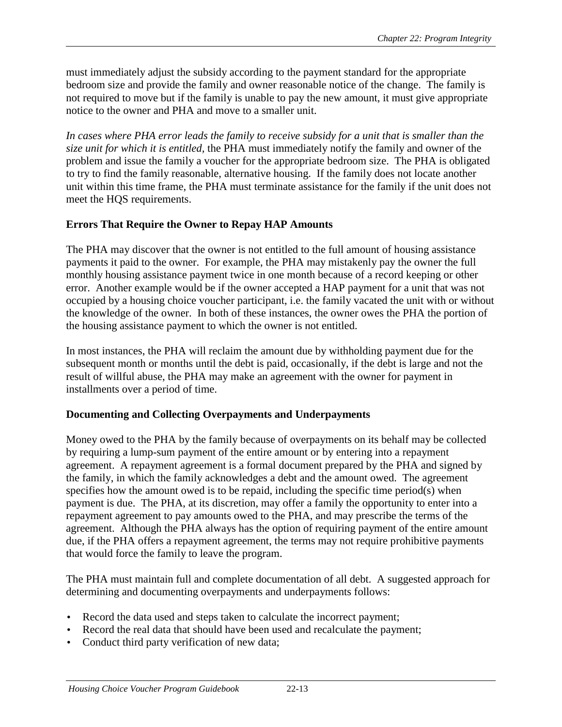<span id="page-13-0"></span>must immediately adjust the subsidy according to the payment standard for the appropriate bedroom size and provide the family and owner reasonable notice of the change. The family is not required to move but if the family is unable to pay the new amount, it must give appropriate notice to the owner and PHA and move to a smaller unit.

*In cases where PHA error leads the family to receive subsidy for a unit that is smaller than the size unit for which it is entitled,* the PHA must immediately notify the family and owner of the problem and issue the family a voucher for the appropriate bedroom size. The PHA is obligated to try to find the family reasonable, alternative housing. If the family does not locate another unit within this time frame, the PHA must terminate assistance for the family if the unit does not meet the HQS requirements.

## **Errors That Require the Owner to Repay HAP Amounts**

The PHA may discover that the owner is not entitled to the full amount of housing assistance payments it paid to the owner. For example, the PHA may mistakenly pay the owner the full monthly housing assistance payment twice in one month because of a record keeping or other error. Another example would be if the owner accepted a HAP payment for a unit that was not occupied by a housing choice voucher participant, i.e. the family vacated the unit with or without the knowledge of the owner. In both of these instances, the owner owes the PHA the portion of the housing assistance payment to which the owner is not entitled.

In most instances, the PHA will reclaim the amount due by withholding payment due for the subsequent month or months until the debt is paid, occasionally, if the debt is large and not the result of willful abuse, the PHA may make an agreement with the owner for payment in installments over a period of time.

## **Documenting and Collecting Overpayments and Underpayments**

Money owed to the PHA by the family because of overpayments on its behalf may be collected by requiring a lump-sum payment of the entire amount or by entering into a repayment agreement. A repayment agreement is a formal document prepared by the PHA and signed by the family, in which the family acknowledges a debt and the amount owed. The agreement specifies how the amount owed is to be repaid, including the specific time period(s) when payment is due. The PHA, at its discretion, may offer a family the opportunity to enter into a repayment agreement to pay amounts owed to the PHA, and may prescribe the terms of the agreement. Although the PHA always has the option of requiring payment of the entire amount due, if the PHA offers a repayment agreement, the terms may not require prohibitive payments that would force the family to leave the program.

The PHA must maintain full and complete documentation of all debt. A suggested approach for determining and documenting overpayments and underpayments follows:

- Record the data used and steps taken to calculate the incorrect payment;
- Record the real data that should have been used and recalculate the payment;
- Conduct third party verification of new data;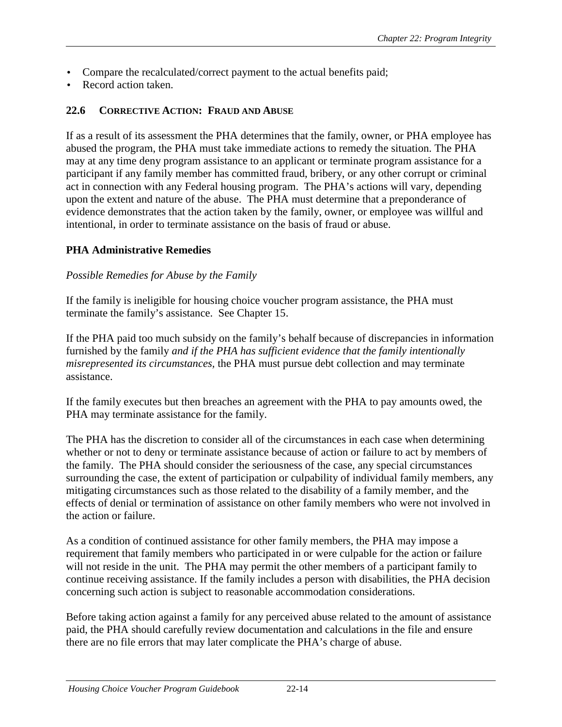- <span id="page-14-0"></span>• Compare the recalculated/correct payment to the actual benefits paid;
- Record action taken.

#### **22.6 CORRECTIVE ACTION: FRAUD AND ABUSE**

If as a result of its assessment the PHA determines that the family, owner, or PHA employee has abused the program, the PHA must take immediate actions to remedy the situation. The PHA may at any time deny program assistance to an applicant or terminate program assistance for a participant if any family member has committed fraud, bribery, or any other corrupt or criminal act in connection with any Federal housing program. The PHA's actions will vary, depending upon the extent and nature of the abuse. The PHA must determine that a preponderance of evidence demonstrates that the action taken by the family, owner, or employee was willful and intentional, in order to terminate assistance on the basis of fraud or abuse.

#### **PHA Administrative Remedies**

#### *Possible Remedies for Abuse by the Family*

If the family is ineligible for housing choice voucher program assistance, the PHA must terminate the family's assistance. See Chapter 15.

If the PHA paid too much subsidy on the family's behalf because of discrepancies in information furnished by the family *and if the PHA has sufficient evidence that the family intentionally misrepresented its circumstances,* the PHA must pursue debt collection and may terminate assistance.

If the family executes but then breaches an agreement with the PHA to pay amounts owed, the PHA may terminate assistance for the family.

The PHA has the discretion to consider all of the circumstances in each case when determining whether or not to deny or terminate assistance because of action or failure to act by members of the family. The PHA should consider the seriousness of the case, any special circumstances surrounding the case, the extent of participation or culpability of individual family members, any mitigating circumstances such as those related to the disability of a family member, and the effects of denial or termination of assistance on other family members who were not involved in the action or failure.

As a condition of continued assistance for other family members, the PHA may impose a requirement that family members who participated in or were culpable for the action or failure will not reside in the unit. The PHA may permit the other members of a participant family to continue receiving assistance. If the family includes a person with disabilities, the PHA decision concerning such action is subject to reasonable accommodation considerations.

Before taking action against a family for any perceived abuse related to the amount of assistance paid, the PHA should carefully review documentation and calculations in the file and ensure there are no file errors that may later complicate the PHA's charge of abuse.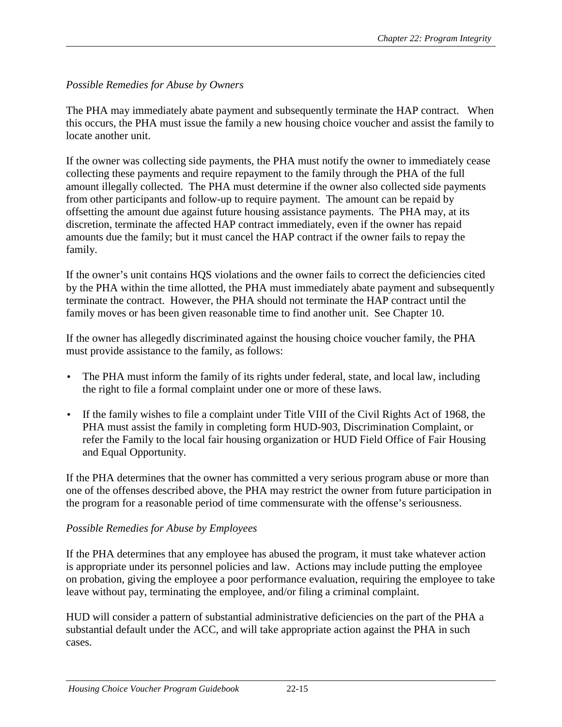## *Possible Remedies for Abuse by Owners*

The PHA may immediately abate payment and subsequently terminate the HAP contract. When this occurs, the PHA must issue the family a new housing choice voucher and assist the family to locate another unit.

If the owner was collecting side payments, the PHA must notify the owner to immediately cease collecting these payments and require repayment to the family through the PHA of the full amount illegally collected. The PHA must determine if the owner also collected side payments from other participants and follow-up to require payment. The amount can be repaid by offsetting the amount due against future housing assistance payments. The PHA may, at its discretion, terminate the affected HAP contract immediately, even if the owner has repaid amounts due the family; but it must cancel the HAP contract if the owner fails to repay the family.

If the owner's unit contains HQS violations and the owner fails to correct the deficiencies cited by the PHA within the time allotted, the PHA must immediately abate payment and subsequently terminate the contract. However, the PHA should not terminate the HAP contract until the family moves or has been given reasonable time to find another unit. See Chapter 10.

If the owner has allegedly discriminated against the housing choice voucher family, the PHA must provide assistance to the family, as follows:

- The PHA must inform the family of its rights under federal, state, and local law, including the right to file a formal complaint under one or more of these laws.
- If the family wishes to file a complaint under Title VIII of the Civil Rights Act of 1968, the PHA must assist the family in completing form HUD-903, Discrimination Complaint, or refer the Family to the local fair housing organization or HUD Field Office of Fair Housing and Equal Opportunity.

If the PHA determines that the owner has committed a very serious program abuse or more than one of the offenses described above, the PHA may restrict the owner from future participation in the program for a reasonable period of time commensurate with the offense's seriousness.

## *Possible Remedies for Abuse by Employees*

If the PHA determines that any employee has abused the program, it must take whatever action is appropriate under its personnel policies and law. Actions may include putting the employee on probation, giving the employee a poor performance evaluation, requiring the employee to take leave without pay, terminating the employee, and/or filing a criminal complaint.

HUD will consider a pattern of substantial administrative deficiencies on the part of the PHA a substantial default under the ACC, and will take appropriate action against the PHA in such cases.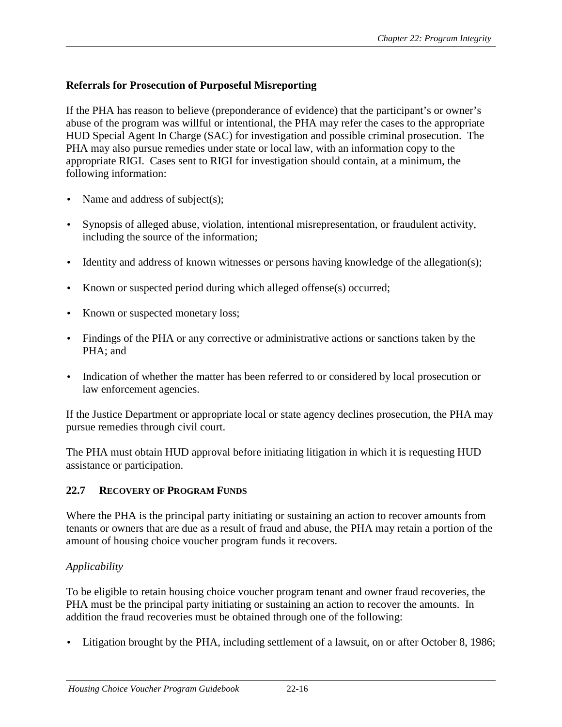## <span id="page-16-0"></span>**Referrals for Prosecution of Purposeful Misreporting**

If the PHA has reason to believe (preponderance of evidence) that the participant's or owner's abuse of the program was willful or intentional, the PHA may refer the cases to the appropriate HUD Special Agent In Charge (SAC) for investigation and possible criminal prosecution. The PHA may also pursue remedies under state or local law, with an information copy to the appropriate RIGI. Cases sent to RIGI for investigation should contain, at a minimum, the following information:

- Name and address of subject(s);
- Synopsis of alleged abuse, violation, intentional misrepresentation, or fraudulent activity, including the source of the information;
- Identity and address of known witnesses or persons having knowledge of the allegation(s);
- Known or suspected period during which alleged offense(s) occurred;
- Known or suspected monetary loss;
- Findings of the PHA or any corrective or administrative actions or sanctions taken by the PHA; and
- Indication of whether the matter has been referred to or considered by local prosecution or law enforcement agencies.

If the Justice Department or appropriate local or state agency declines prosecution, the PHA may pursue remedies through civil court.

The PHA must obtain HUD approval before initiating litigation in which it is requesting HUD assistance or participation.

## **22.7 RECOVERY OF PROGRAM FUNDS**

Where the PHA is the principal party initiating or sustaining an action to recover amounts from tenants or owners that are due as a result of fraud and abuse, the PHA may retain a portion of the amount of housing choice voucher program funds it recovers.

## *Applicability*

To be eligible to retain housing choice voucher program tenant and owner fraud recoveries, the PHA must be the principal party initiating or sustaining an action to recover the amounts. In addition the fraud recoveries must be obtained through one of the following:

• Litigation brought by the PHA, including settlement of a lawsuit, on or after October 8, 1986;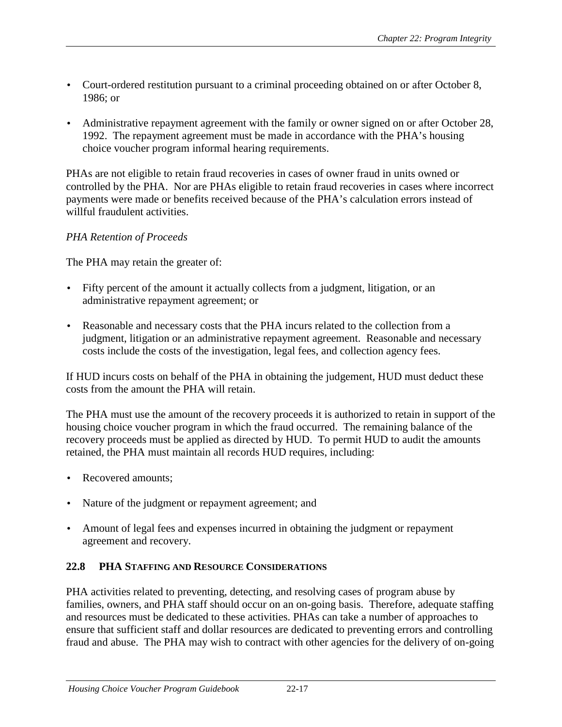- <span id="page-17-0"></span>• Court-ordered restitution pursuant to a criminal proceeding obtained on or after October 8, 1986; or
- Administrative repayment agreement with the family or owner signed on or after October 28, 1992. The repayment agreement must be made in accordance with the PHA's housing choice voucher program informal hearing requirements.

PHAs are not eligible to retain fraud recoveries in cases of owner fraud in units owned or controlled by the PHA. Nor are PHAs eligible to retain fraud recoveries in cases where incorrect payments were made or benefits received because of the PHA's calculation errors instead of willful fraudulent activities.

## *PHA Retention of Proceeds*

The PHA may retain the greater of:

- Fifty percent of the amount it actually collects from a judgment, litigation, or an administrative repayment agreement; or
- Reasonable and necessary costs that the PHA incurs related to the collection from a judgment, litigation or an administrative repayment agreement. Reasonable and necessary costs include the costs of the investigation, legal fees, and collection agency fees.

If HUD incurs costs on behalf of the PHA in obtaining the judgement, HUD must deduct these costs from the amount the PHA will retain.

The PHA must use the amount of the recovery proceeds it is authorized to retain in support of the housing choice voucher program in which the fraud occurred. The remaining balance of the recovery proceeds must be applied as directed by HUD. To permit HUD to audit the amounts retained, the PHA must maintain all records HUD requires, including:

- Recovered amounts:
- Nature of the judgment or repayment agreement; and
- Amount of legal fees and expenses incurred in obtaining the judgment or repayment agreement and recovery.

## **22.8 PHA STAFFING AND RESOURCE CONSIDERATIONS**

PHA activities related to preventing, detecting, and resolving cases of program abuse by families, owners, and PHA staff should occur on an on-going basis. Therefore, adequate staffing and resources must be dedicated to these activities. PHAs can take a number of approaches to ensure that sufficient staff and dollar resources are dedicated to preventing errors and controlling fraud and abuse. The PHA may wish to contract with other agencies for the delivery of on-going